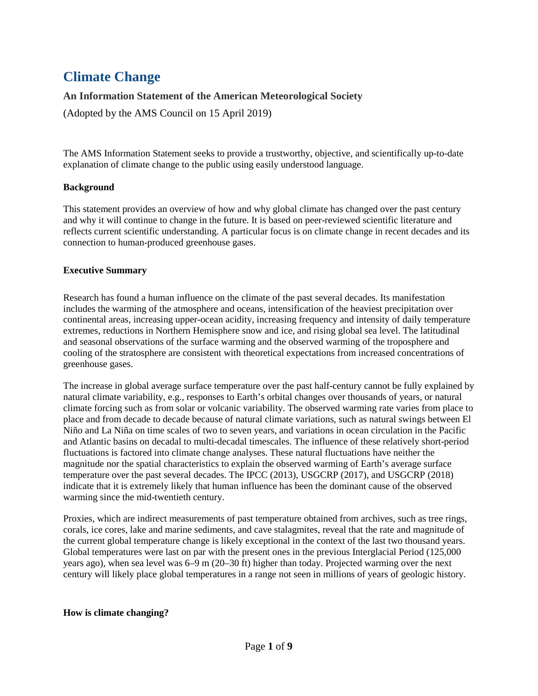# **Climate Change**

# **An Information Statement of the American Meteorological Society**

(Adopted by the AMS Council on 15 April 2019)

The AMS Information Statement seeks to provide a trustworthy, objective, and scientifically up-to-date explanation of climate change to the public using easily understood language.

#### **Background**

This statement provides an overview of how and why global climate has changed over the past century and why it will continue to change in the future. It is based on peer-reviewed scientific literature and reflects current scientific understanding. A particular focus is on climate change in recent decades and its connection to human-produced greenhouse gases.

## **Executive Summary**

Research has found a human influence on the climate of the past several decades. Its manifestation includes the warming of the atmosphere and oceans, intensification of the heaviest precipitation over continental areas, increasing upper-ocean acidity, increasing frequency and intensity of daily temperature extremes, reductions in Northern Hemisphere snow and ice, and rising global sea level. The latitudinal and seasonal observations of the surface warming and the observed warming of the troposphere and cooling of the stratosphere are consistent with theoretical expectations from increased concentrations of greenhouse gases.

The increase in global average surface temperature over the past half-century cannot be fully explained by natural climate variability, e.g., responses to Earth's orbital changes over thousands of years, or natural climate forcing such as from solar or volcanic variability. The observed warming rate varies from place to place and from decade to decade because of natural climate variations, such as natural swings between El Niño and La Niña on time scales of two to seven years, and variations in ocean circulation in the Pacific and Atlantic basins on decadal to multi-decadal timescales. The influence of these relatively short-period fluctuations is factored into climate change analyses. These natural fluctuations have neither the magnitude nor the spatial characteristics to explain the observed warming of Earth's average surface temperature over the past several decades. The IPCC (2013), USGCRP (2017), and USGCRP (2018) indicate that it is extremely likely that human influence has been the dominant cause of the observed warming since the mid-twentieth century.

Proxies, which are indirect measurements of past temperature obtained from archives, such as tree rings, corals, ice cores, lake and marine sediments, and cave stalagmites, reveal that the rate and magnitude of the current global temperature change is likely exceptional in the context of the last two thousand years. Global temperatures were last on par with the present ones in the previous Interglacial Period (125,000 years ago), when sea level was 6–9 m (20–30 ft) higher than today. Projected warming over the next century will likely place global temperatures in a range not seen in millions of years of geologic history.

## **How is climate changing?**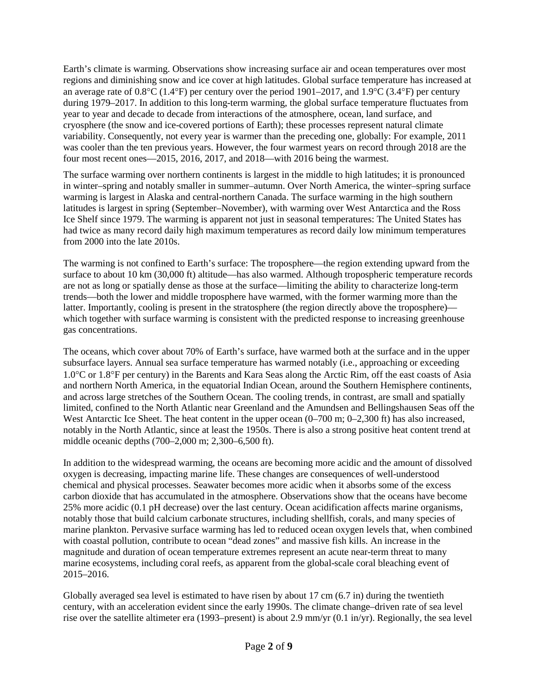Earth's climate is warming. Observations show increasing surface air and ocean temperatures over most regions and diminishing snow and ice cover at high latitudes. Global surface temperature has increased at an average rate of 0.8°C (1.4°F) per century over the period 1901–2017, and 1.9°C (3.4°F) per century during 1979–2017. In addition to this long-term warming, the global surface temperature fluctuates from year to year and decade to decade from interactions of the atmosphere, ocean, land surface, and cryosphere (the snow and ice-covered portions of Earth); these processes represent natural climate variability. Consequently, not every year is warmer than the preceding one, globally: For example, 2011 was cooler than the ten previous years. However, the four warmest years on record through 2018 are the four most recent ones—2015, 2016, 2017, and 2018—with 2016 being the warmest.

The surface warming over northern continents is largest in the middle to high latitudes; it is pronounced in winter–spring and notably smaller in summer–autumn. Over North America, the winter–spring surface warming is largest in Alaska and central-northern Canada. The surface warming in the high southern latitudes is largest in spring (September–November), with warming over West Antarctica and the Ross Ice Shelf since 1979. The warming is apparent not just in seasonal temperatures: The United States has had twice as many record daily high maximum temperatures as record daily low minimum temperatures from 2000 into the late 2010s.

The warming is not confined to Earth's surface: The troposphere—the region extending upward from the surface to about 10 km (30,000 ft) altitude—has also warmed. Although tropospheric temperature records are not as long or spatially dense as those at the surface—limiting the ability to characterize long-term trends—both the lower and middle troposphere have warmed, with the former warming more than the latter. Importantly, cooling is present in the stratosphere (the region directly above the troposphere) which together with surface warming is consistent with the predicted response to increasing greenhouse gas concentrations.

The oceans, which cover about 70% of Earth's surface, have warmed both at the surface and in the upper subsurface layers. Annual sea surface temperature has warmed notably (i.e., approaching or exceeding 1.0°C or 1.8°F per century) in the Barents and Kara Seas along the Arctic Rim, off the east coasts of Asia and northern North America, in the equatorial Indian Ocean, around the Southern Hemisphere continents, and across large stretches of the Southern Ocean. The cooling trends, in contrast, are small and spatially limited, confined to the North Atlantic near Greenland and the Amundsen and Bellingshausen Seas off the West Antarctic Ice Sheet. The heat content in the upper ocean  $(0-700 \text{ m}; 0-2,300 \text{ ft})$  has also increased, notably in the North Atlantic, since at least the 1950s. There is also a strong positive heat content trend at middle oceanic depths (700–2,000 m; 2,300–6,500 ft).

In addition to the widespread warming, the oceans are becoming more acidic and the amount of dissolved oxygen is decreasing, impacting marine life. These changes are consequences of well-understood chemical and physical processes. Seawater becomes more acidic when it absorbs some of the excess carbon dioxide that has accumulated in the atmosphere. Observations show that the oceans have become 25% more acidic (0.1 pH decrease) over the last century. Ocean acidification affects marine organisms, notably those that build calcium carbonate structures, including shellfish, corals, and many species of marine plankton. Pervasive surface warming has led to reduced ocean oxygen levels that, when combined with coastal pollution, contribute to ocean "dead zones" and massive fish kills. An increase in the magnitude and duration of ocean temperature extremes represent an acute near-term threat to many marine ecosystems, including coral reefs, as apparent from the global-scale coral bleaching event of 2015–2016.

Globally averaged sea level is estimated to have risen by about 17 cm (6.7 in) during the twentieth century, with an acceleration evident since the early 1990s. The climate change–driven rate of sea level rise over the satellite altimeter era (1993–present) is about 2.9 mm/yr (0.1 in/yr). Regionally, the sea level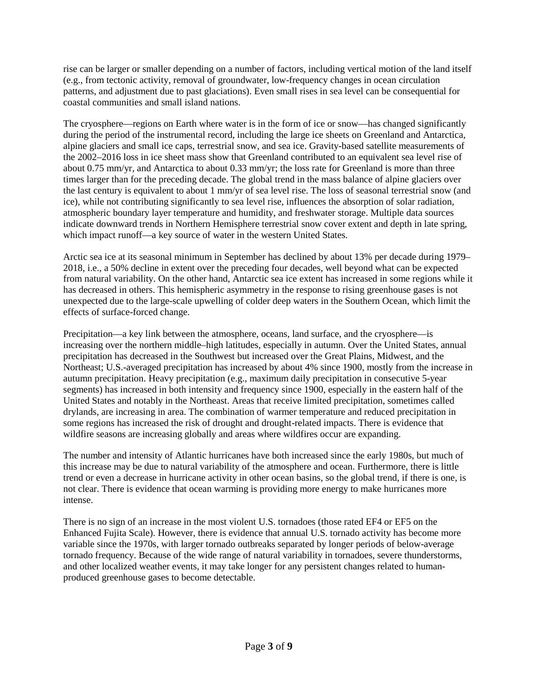rise can be larger or smaller depending on a number of factors, including vertical motion of the land itself (e.g., from tectonic activity, removal of groundwater, low-frequency changes in ocean circulation patterns, and adjustment due to past glaciations). Even small rises in sea level can be consequential for coastal communities and small island nations.

The cryosphere—regions on Earth where water is in the form of ice or snow—has changed significantly during the period of the instrumental record, including the large ice sheets on Greenland and Antarctica, alpine glaciers and small ice caps, terrestrial snow, and sea ice. Gravity-based satellite measurements of the 2002–2016 loss in ice sheet mass show that Greenland contributed to an equivalent sea level rise of about 0.75 mm/yr, and Antarctica to about 0.33 mm/yr; the loss rate for Greenland is more than three times larger than for the preceding decade. The global trend in the mass balance of alpine glaciers over the last century is equivalent to about 1 mm/yr of sea level rise. The loss of seasonal terrestrial snow (and ice), while not contributing significantly to sea level rise, influences the absorption of solar radiation, atmospheric boundary layer temperature and humidity, and freshwater storage. Multiple data sources indicate downward trends in Northern Hemisphere terrestrial snow cover extent and depth in late spring, which impact runoff—a key source of water in the western United States.

Arctic sea ice at its seasonal minimum in September has declined by about 13% per decade during 1979– 2018, i.e., a 50% decline in extent over the preceding four decades, well beyond what can be expected from natural variability. On the other hand, Antarctic sea ice extent has increased in some regions while it has decreased in others. This hemispheric asymmetry in the response to rising greenhouse gases is not unexpected due to the large-scale upwelling of colder deep waters in the Southern Ocean, which limit the effects of surface-forced change.

Precipitation—a key link between the atmosphere, oceans, land surface, and the cryosphere—is increasing over the northern middle–high latitudes, especially in autumn. Over the United States, annual precipitation has decreased in the Southwest but increased over the Great Plains, Midwest, and the Northeast; U.S.-averaged precipitation has increased by about 4% since 1900, mostly from the increase in autumn precipitation. Heavy precipitation (e.g., maximum daily precipitation in consecutive 5-year segments) has increased in both intensity and frequency since 1900, especially in the eastern half of the United States and notably in the Northeast. Areas that receive limited precipitation, sometimes called drylands, are increasing in area. The combination of warmer temperature and reduced precipitation in some regions has increased the risk of drought and drought-related impacts. There is evidence that wildfire seasons are increasing globally and areas where wildfires occur are expanding.

The number and intensity of Atlantic hurricanes have both increased since the early 1980s, but much of this increase may be due to natural variability of the atmosphere and ocean. Furthermore, there is little trend or even a decrease in hurricane activity in other ocean basins, so the global trend, if there is one, is not clear. There is evidence that ocean warming is providing more energy to make hurricanes more intense.

There is no sign of an increase in the most violent U.S. tornadoes (those rated EF4 or EF5 on the Enhanced Fujita Scale). However, there is evidence that annual U.S. tornado activity has become more variable since the 1970s, with larger tornado outbreaks separated by longer periods of below-average tornado frequency. Because of the wide range of natural variability in tornadoes, severe thunderstorms, and other localized weather events, it may take longer for any persistent changes related to humanproduced greenhouse gases to become detectable.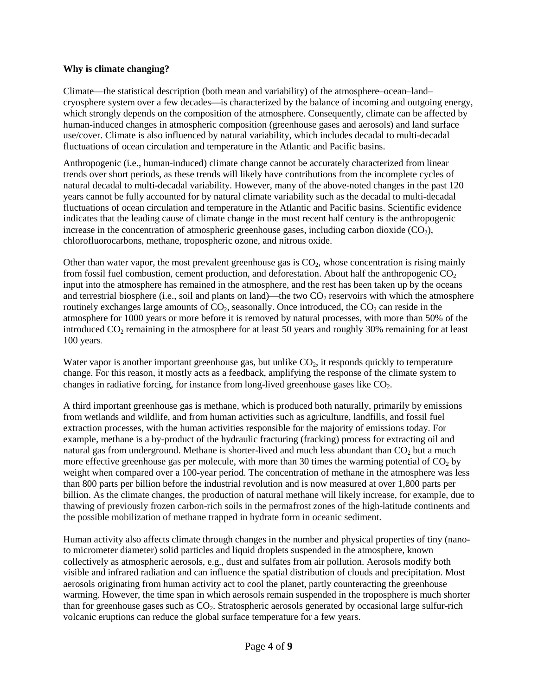## **Why is climate changing?**

Climate—the statistical description (both mean and variability) of the atmosphere–ocean–land– cryosphere system over a few decades—is characterized by the balance of incoming and outgoing energy, which strongly depends on the composition of the atmosphere. Consequently, climate can be affected by human-induced changes in atmospheric composition (greenhouse gases and aerosols) and land surface use/cover. Climate is also influenced by natural variability, which includes decadal to multi-decadal fluctuations of ocean circulation and temperature in the Atlantic and Pacific basins.

Anthropogenic (i.e., human-induced) climate change cannot be accurately characterized from linear trends over short periods, as these trends will likely have contributions from the incomplete cycles of natural decadal to multi-decadal variability. However, many of the above-noted changes in the past 120 years cannot be fully accounted for by natural climate variability such as the decadal to multi-decadal fluctuations of ocean circulation and temperature in the Atlantic and Pacific basins. Scientific evidence indicates that the leading cause of climate change in the most recent half century is the anthropogenic increase in the concentration of atmospheric greenhouse gases, including carbon dioxide  $(CO<sub>2</sub>)$ , chlorofluorocarbons, methane, tropospheric ozone, and nitrous oxide.

Other than water vapor, the most prevalent greenhouse gas is  $CO<sub>2</sub>$ , whose concentration is rising mainly from fossil fuel combustion, cement production, and deforestation. About half the anthropogenic  $CO<sub>2</sub>$ input into the atmosphere has remained in the atmosphere, and the rest has been taken up by the oceans and terrestrial biosphere (i.e., soil and plants on land)—the two  $CO<sub>2</sub>$  reservoirs with which the atmosphere routinely exchanges large amounts of  $CO<sub>2</sub>$ , seasonally. Once introduced, the  $CO<sub>2</sub>$  can reside in the atmosphere for 1000 years or more before it is removed by natural processes, with more than 50% of the introduced  $CO<sub>2</sub>$  remaining in the atmosphere for at least 50 years and roughly 30% remaining for at least 100 years.

Water vapor is another important greenhouse gas, but unlike  $CO<sub>2</sub>$ , it responds quickly to temperature change. For this reason, it mostly acts as a feedback, amplifying the response of the climate system to changes in radiative forcing, for instance from long-lived greenhouse gases like  $CO<sub>2</sub>$ .

A third important greenhouse gas is methane, which is produced both naturally, primarily by emissions from wetlands and wildlife, and from human activities such as agriculture, landfills, and fossil fuel extraction processes, with the human activities responsible for the majority of emissions today. For example, methane is a by-product of the hydraulic fracturing (fracking) process for extracting oil and natural gas from underground. Methane is shorter-lived and much less abundant than  $CO<sub>2</sub>$  but a much more effective greenhouse gas per molecule, with more than 30 times the warming potential of  $CO<sub>2</sub>$  by weight when compared over a 100-year period. The concentration of methane in the atmosphere was less than 800 parts per billion before the industrial revolution and is now measured at over 1,800 parts per billion. As the climate changes, the production of natural methane will likely increase, for example, due to thawing of previously frozen carbon-rich soils in the permafrost zones of the high-latitude continents and the possible mobilization of methane trapped in hydrate form in oceanic sediment.

Human activity also affects climate through changes in the number and physical properties of tiny (nanoto micrometer diameter) solid particles and liquid droplets suspended in the atmosphere, known collectively as atmospheric aerosols, e.g., dust and sulfates from air pollution. Aerosols modify both visible and infrared radiation and can influence the spatial distribution of clouds and precipitation. Most aerosols originating from human activity act to cool the planet, partly counteracting the greenhouse warming. However, the time span in which aerosols remain suspended in the troposphere is much shorter than for greenhouse gases such as  $CO<sub>2</sub>$ . Stratospheric aerosols generated by occasional large sulfur-rich volcanic eruptions can reduce the global surface temperature for a few years.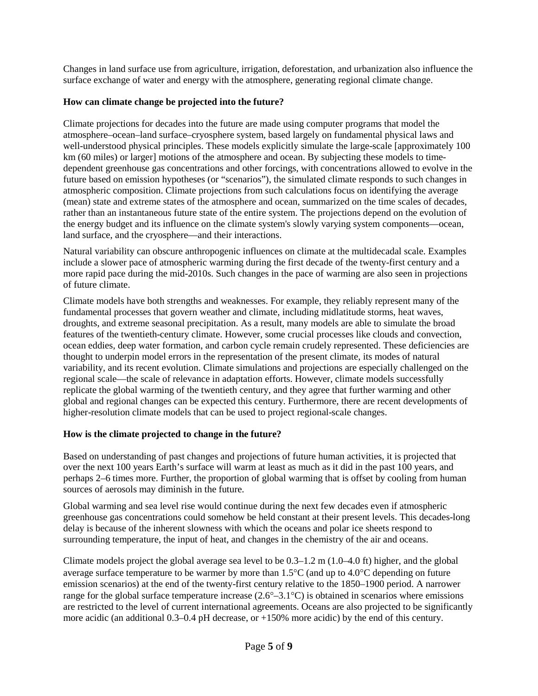Changes in land surface use from agriculture, irrigation, deforestation, and urbanization also influence the surface exchange of water and energy with the atmosphere, generating regional climate change.

## **How can climate change be projected into the future?**

Climate projections for decades into the future are made using computer programs that model the atmosphere–ocean–land surface–cryosphere system, based largely on fundamental physical laws and well-understood physical principles. These models explicitly simulate the large-scale [approximately 100 km (60 miles) or larger] motions of the atmosphere and ocean. By subjecting these models to timedependent greenhouse gas concentrations and other forcings, with concentrations allowed to evolve in the future based on emission hypotheses (or "scenarios"), the simulated climate responds to such changes in atmospheric composition. Climate projections from such calculations focus on identifying the average (mean) state and extreme states of the atmosphere and ocean, summarized on the time scales of decades, rather than an instantaneous future state of the entire system. The projections depend on the evolution of the energy budget and its influence on the climate system's slowly varying system components—ocean, land surface, and the cryosphere—and their interactions.

Natural variability can obscure anthropogenic influences on climate at the multidecadal scale. Examples include a slower pace of atmospheric warming during the first decade of the twenty-first century and a more rapid pace during the mid-2010s. Such changes in the pace of warming are also seen in projections of future climate.

Climate models have both strengths and weaknesses. For example, they reliably represent many of the fundamental processes that govern weather and climate, including midlatitude storms, heat waves, droughts, and extreme seasonal precipitation. As a result, many models are able to simulate the broad features of the twentieth-century climate. However, some crucial processes like clouds and convection, ocean eddies, deep water formation, and carbon cycle remain crudely represented. These deficiencies are thought to underpin model errors in the representation of the present climate, its modes of natural variability, and its recent evolution. Climate simulations and projections are especially challenged on the regional scale—the scale of relevance in adaptation efforts. However, climate models successfully replicate the global warming of the twentieth century, and they agree that further warming and other global and regional changes can be expected this century. Furthermore, there are recent developments of higher-resolution climate models that can be used to project regional-scale changes.

# **How is the climate projected to change in the future?**

Based on understanding of past changes and projections of future human activities, it is projected that over the next 100 years Earth's surface will warm at least as much as it did in the past 100 years, and perhaps 2–6 times more. Further, the proportion of global warming that is offset by cooling from human sources of aerosols may diminish in the future.

Global warming and sea level rise would continue during the next few decades even if atmospheric greenhouse gas concentrations could somehow be held constant at their present levels. This decades-long delay is because of the inherent slowness with which the oceans and polar ice sheets respond to surrounding temperature, the input of heat, and changes in the chemistry of the air and oceans.

Climate models project the global average sea level to be 0.3–1.2 m (1.0–4.0 ft) higher, and the global average surface temperature to be warmer by more than 1.5°C (and up to 4.0°C depending on future emission scenarios) at the end of the twenty-first century relative to the 1850–1900 period. A narrower range for the global surface temperature increase  $(2.6^{\circ}-3.1^{\circ}C)$  is obtained in scenarios where emissions are restricted to the level of current international agreements. Oceans are also projected to be significantly more acidic (an additional 0.3–0.4 pH decrease, or +150% more acidic) by the end of this century.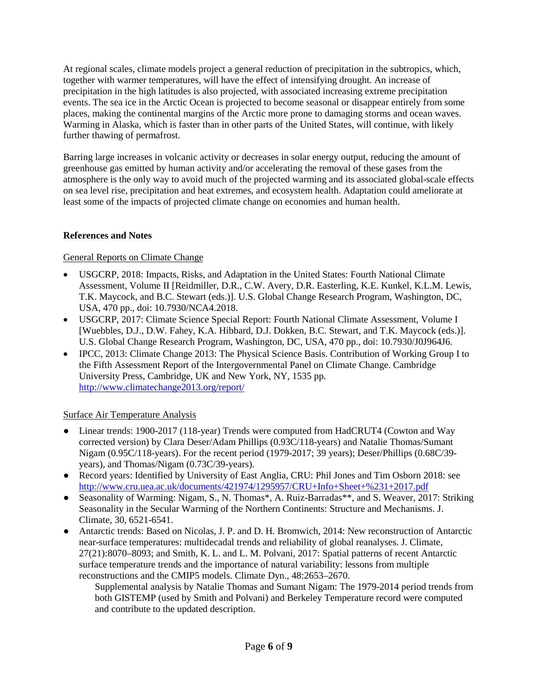At regional scales, climate models project a general reduction of precipitation in the subtropics, which, together with warmer temperatures, will have the effect of intensifying drought. An increase of precipitation in the high latitudes is also projected, with associated increasing extreme precipitation events. The sea ice in the Arctic Ocean is projected to become seasonal or disappear entirely from some places, making the continental margins of the Arctic more prone to damaging storms and ocean waves. Warming in Alaska, which is faster than in other parts of the United States, will continue, with likely further thawing of permafrost.

Barring large increases in volcanic activity or decreases in solar energy output, reducing the amount of greenhouse gas emitted by human activity and/or accelerating the removal of these gases from the atmosphere is the only way to avoid much of the projected warming and its associated global-scale effects on sea level rise, precipitation and heat extremes, and ecosystem health. Adaptation could ameliorate at least some of the impacts of projected climate change on economies and human health.

## **References and Notes**

## General Reports on Climate Change

- USGCRP, 2018: Impacts, Risks, and Adaptation in the United States: Fourth National Climate Assessment, Volume II [Reidmiller, D.R., C.W. Avery, D.R. Easterling, K.E. Kunkel, K.L.M. Lewis, T.K. Maycock, and B.C. Stewart (eds.)]. U.S. Global Change Research Program, Washington, DC, USA, 470 pp., doi: 10.7930/NCA4.2018.
- USGCRP, 2017: Climate Science Special Report: Fourth National Climate Assessment, Volume I [Wuebbles, D.J., D.W. Fahey, K.A. Hibbard, D.J. Dokken, B.C. Stewart, and T.K. Maycock (eds.)]. U.S. Global Change Research Program, Washington, DC, USA, 470 pp., doi: 10.7930/J0J964J6.
- IPCC, 2013: Climate Change 2013: The Physical Science Basis. Contribution of Working Group I to the Fifth Assessment Report of the Intergovernmental Panel on Climate Change. Cambridge University Press, Cambridge, UK and New York, NY, 1535 pp. <http://www.climatechange2013.org/report/>

# Surface Air Temperature Analysis

- Linear trends: 1900-2017 (118-year) Trends were computed from HadCRUT4 (Cowton and Way corrected version) by Clara Deser/Adam Phillips (0.93C/118-years) and Natalie Thomas/Sumant Nigam (0.95C/118-years). For the recent period (1979-2017; 39 years); Deser/Phillips (0.68C/39 years), and Thomas/Nigam (0.73C/39-years).
- Record years: Identified by University of East Anglia, CRU: Phil Jones and Tim Osborn 2018: see <http://www.cru.uea.ac.uk/documents/421974/1295957/CRU+Info+Sheet+%231+2017.pdf>
- Seasonality of Warming: Nigam, S., N. Thomas\*, A. Ruiz-Barradas\*\*, and S. Weaver, 2017: Striking Seasonality in the Secular Warming of the Northern Continents: Structure and Mechanisms. J. Climate, 30, 6521-6541.
- Antarctic trends: Based on Nicolas, J. P. and D. H. Bromwich, 2014: New reconstruction of Antarctic near-surface temperatures: multidecadal trends and reliability of global reanalyses. J. Climate, 27(21):8070–8093; and Smith, K. L. and L. M. Polvani, 2017: Spatial patterns of recent Antarctic surface temperature trends and the importance of natural variability: lessons from multiple reconstructions and the CMIP5 models. Climate Dyn., 48:2653–2670.

Supplemental analysis by Natalie Thomas and Sumant Nigam: The 1979-2014 period trends from both GISTEMP (used by Smith and Polvani) and Berkeley Temperature record were computed and contribute to the updated description.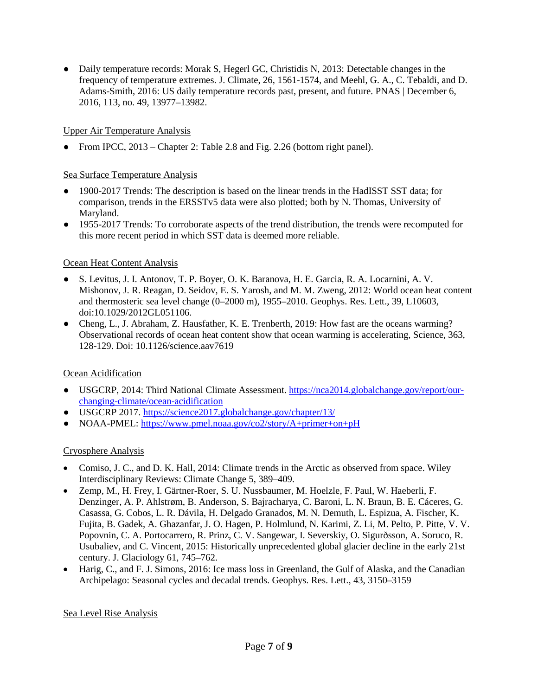• Daily temperature records: Morak S, Hegerl GC, Christidis N, 2013: Detectable changes in the frequency of temperature extremes. J. Climate, 26, 1561-1574, and Meehl, G. A., C. Tebaldi, and D. Adams-Smith, 2016: US daily temperature records past, present, and future. PNAS | December 6, 2016, 113, no. 49, 13977–13982.

## Upper Air Temperature Analysis

• From IPCC, 2013 – Chapter 2: Table 2.8 and Fig. 2.26 (bottom right panel).

## Sea Surface Temperature Analysis

- 1900-2017 Trends: The description is based on the linear trends in the HadISST SST data; for comparison, trends in the ERSSTv5 data were also plotted; both by N. Thomas, University of Maryland.
- 1955-2017 Trends: To corroborate aspects of the trend distribution, the trends were recomputed for this more recent period in which SST data is deemed more reliable.

## Ocean Heat Content Analysis

- S. Levitus, J. I. Antonov, T. P. Boyer, O. K. Baranova, H. E. Garcia, R. A. Locarnini, A. V. Mishonov, J. R. Reagan, D. Seidov, E. S. Yarosh, and M. M. Zweng, 2012: World ocean heat content and thermosteric sea level change (0–2000 m), 1955–2010. Geophys. Res. Lett., 39, L10603, doi:10.1029/2012GL051106.
- Cheng, L., J. Abraham, Z. Hausfather, K. E. Trenberth, 2019: How fast are the oceans warming? Observational records of ocean heat content show that ocean warming is accelerating, Science, 363, 128-129. Doi: 10.1126/science.aav7619

# Ocean Acidification

- USGCRP, 2014: Third National Climate Assessment. [https://nca2014.globalchange.gov/report/our](https://nca2014.globalchange.gov/report/our-changing-climate/ocean-acidification)[changing-climate/ocean-acidification](https://nca2014.globalchange.gov/report/our-changing-climate/ocean-acidification)
- USGCRP 2017.<https://science2017.globalchange.gov/chapter/13/>
- NOAA-PMEL:<https://www.pmel.noaa.gov/co2/story/A+primer+on+pH>

## Cryosphere Analysis

- Comiso, J. C., and D. K. Hall, 2014: Climate trends in the Arctic as observed from space. Wiley Interdisciplinary Reviews: Climate Change 5, 389–409.
- Zemp, M., H. Frey, I. Gärtner-Roer, S. U. Nussbaumer, M. Hoelzle, F. Paul, W. Haeberli, F. Denzinger, A. P. Ahlstrøm, B. Anderson, S. Bajracharya, C. Baroni, L. N. Braun, B. E. Cáceres, G. Casassa, G. Cobos, L. R. Dávila, H. Delgado Granados, M. N. Demuth, L. Espizua, A. Fischer, K. Fujita, B. Gadek, A. Ghazanfar, J. O. Hagen, P. Holmlund, N. Karimi, Z. Li, M. Pelto, P. Pitte, V. V. Popovnin, C. A. Portocarrero, R. Prinz, C. V. Sangewar, I. Severskiy, O. Sigurðsson, A. Soruco, R. Usubaliev, and C. Vincent, 2015: Historically unprecedented global glacier decline in the early 21st century. J. Glaciology 61, 745–762.
- Harig, C., and F. J. Simons, 2016: Ice mass loss in Greenland, the Gulf of Alaska, and the Canadian Archipelago: Seasonal cycles and decadal trends. Geophys. Res. Lett., 43, 3150–3159

## Sea Level Rise Analysis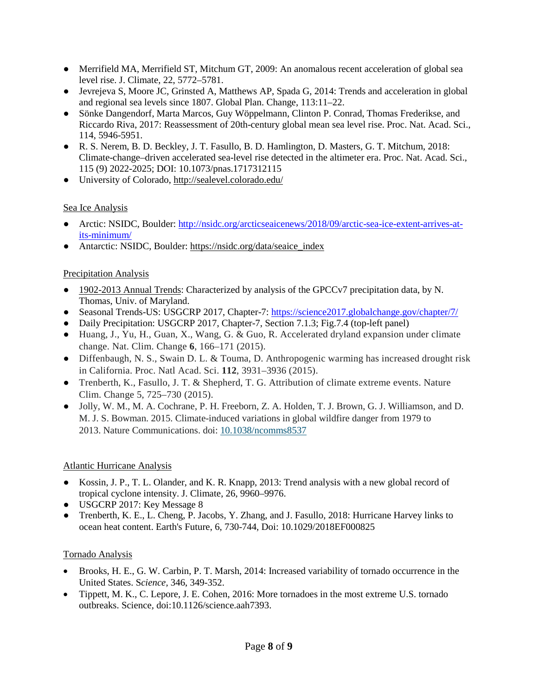- Merrifield MA, Merrifield ST, Mitchum GT, 2009: An anomalous recent acceleration of global sea level rise. J. Climate, 22, 5772–5781.
- Jevrejeva S, Moore JC, Grinsted A, Matthews AP, Spada G, 2014: Trends and acceleration in global and regional sea levels since 1807. Global Plan. Change, 113:11–22.
- Sönke Dangendorf, Marta Marcos, Guy Wöppelmann, Clinton P. Conrad, Thomas Frederikse, and Riccardo Riva, 2017: Reassessment of 20th-century global mean sea level rise. Proc. Nat. Acad. Sci., 114, 5946-5951.
- R. S. Nerem, B. D. Beckley, J. T. Fasullo, B. D. Hamlington, D. Masters, G. T. Mitchum, 2018: Climate-change–driven accelerated sea-level rise detected in the altimeter era. Proc. Nat. Acad. Sci., 115 (9) 2022-2025; DOI: 10.1073/pnas.1717312115
- University of Colorado,<http://sealevel.colorado.edu/>

## Sea Ice Analysis

- Arctic: NSIDC, Boulder: [http://nsidc.org/arcticseaicenews/2018/09/arctic-sea-ice-extent-arrives-at](http://nsidc.org/arcticseaicenews/2018/09/arctic-sea-ice-extent-arrives-at-its-minimum/)[its-minimum/](http://nsidc.org/arcticseaicenews/2018/09/arctic-sea-ice-extent-arrives-at-its-minimum/)
- Antarctic: NSIDC, Boulder: [https://nsidc.org/data/seaice\\_index](https://nsidc.org/data/seaice_index)

## Precipitation Analysis

- [1902-2013 Annual Trends:](http://www.atmos.umd.edu/~nigam/AMS.Statement.Annual.Precipitation-Trends.pdf) Characterized by analysis of the GPCCv7 precipitation data, by N. Thomas, Univ. of Maryland.
- Seasonal Trends-US: USGCRP 2017, Chapter-7: <https://science2017.globalchange.gov/chapter/7/>
- Daily Precipitation: USGCRP 2017, Chapter-7, Section 7.1.3; Fig.7.4 (top-left panel)
- Huang, J., Yu, H., Guan, X., Wang, G. & Guo, R. Accelerated dryland expansion under climate change. Nat. Clim. Change **6**, 166–171 (2015).
- Diffenbaugh, N. S., Swain D. L. & Touma, D. Anthropogenic warming has increased drought risk in California. Proc. Natl Acad. Sci. **112**, 3931–3936 (2015).
- Trenberth, K., Fasullo, J. T. & Shepherd, T. G. Attribution of climate extreme events. Nature Clim. Change 5, 725–730 (2015).
- Jolly, W. M., M. A. Cochrane, P. H. Freeborn, Z. A. Holden, T. J. Brown, G. J. Williamson, and D. M. J. S. Bowman. 2015. Climate-induced variations in global wildfire danger from 1979 to 2013. Nature Communications. doi: [10.1038/ncomms8537](https://esajournals.onlinelibrary.wiley.com/doi/full/10.1890/10.1038/ncomms8537)

# Atlantic Hurricane Analysis

- Kossin, J. P., T. L. Olander, and K. R. Knapp, 2013: Trend analysis with a new global record of tropical cyclone intensity. J. Climate, 26, 9960–9976.
- USGCRP 2017: Key Message 8
- Trenberth, K. E., L. Cheng, P. Jacobs, Y. Zhang, and J. Fasullo, 2018: Hurricane Harvey links to ocean heat content. Earth's Future, 6, 730-744, Doi: 10.1029/2018EF000825

## Tornado Analysis

- Brooks, H. E., G. W. Carbin, P. T. Marsh, 2014: Increased variability of tornado occurrence in the United States. S*cience,* 346, 349-352.
- Tippett, M. K., C. Lepore, J. E. Cohen, 2016: More tornadoes in the most extreme U.S. tornado outbreaks. Science*,* doi:10.1126/science.aah7393.